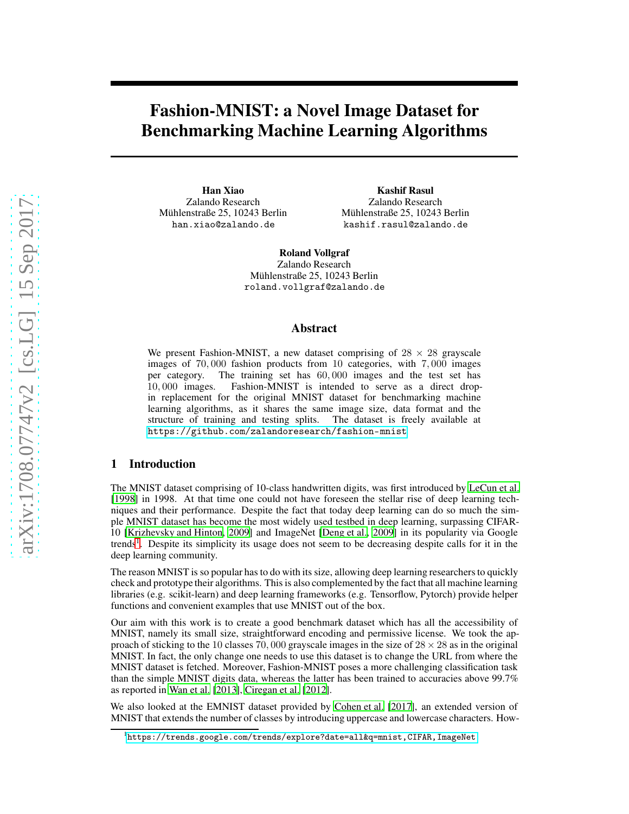# Fashion-MNIST: a Novel Image Dataset for Benchmarking Machine Learning Algorithms

Han Xiao Zalando Research Mühlenstraße 25, 10243 Berlin han.xiao@zalando.de

Kashif Rasul Zalando Research Mühlenstraße 25, 10243 Berlin kashif.rasul@zalando.de

Roland Vollgraf Zalando Research Mühlenstraße 25, 10243 Berlin roland.vollgraf@zalando.de

#### Abstract

We present Fashion-MNIST, a new dataset comprising of  $28 \times 28$  grayscale images of 70,000 fashion products from 10 categories, with 7,000 images per category. The training set has 60,000 images and the test set has per category. The training set has 60,000 images and the test set has 10,000 images. Fashion-MNIST is intended to serve as a direct drop-Fashion-MNIST is intended to serve as a direct dropin replacement for the original MNIST dataset for benchmarking machine learning algorithms, as it shares the same image size, data format and the structure of training and testing splits. The dataset is freely available at <https://github.com/zalandoresearch/fashion-mnist>.

### 1 Introduction

The MNIST dataset comprising of 10-class handwritten digits, was first introduced by [LeCun et al.](#page-5-0) [\[1998\]](#page-5-0) in 1998. At that time one could not have foreseen the stellar rise of deep learning techniques and their performance. Despite the fact that today deep learning can do so much the simple MNIST dataset has become the most widely used testbed in deep learning, surpassing CIFAR-10 [\[Krizhevsky and Hinton, 2009\]](#page-5-1) and ImageNet [\[Deng et al.](#page-5-2), [2009](#page-5-2)] in its popularity via Google trends<sup>[1](#page-0-0)</sup>. Despite its simplicity its usage does not seem to be decreasing despite calls for it in the deep learning community.

The reason MNIST is so popular has to do with its size, allowing deep learning researchers to quickly check and prototype their algorithms. This is also complemented by the fact that all machine learning libraries (e.g. scikit-learn) and deep learning frameworks (e.g. Tensorflow, Pytorch) provide helper functions and convenient examples that use MNIST out of the box.

Our aim with this work is to create a good benchmark dataset which has all the accessibility of MNIST, namely its small size, straightforward encoding and permissive license. We took the approach of sticking to the 10 classes 70, 000 grayscale images in the size of  $28 \times 28$  as in the original MNIST. In fact, the only change one needs to use this dataset is to change the URL from where the MNIST dataset is fetched. Moreover, Fashion-MNIST poses a more challenging classification task than the simple MNIST digits data, whereas the latter has been trained to accuracies above 99.7% as reported in [Wan et al. \[2013\]](#page-5-3), [Ciregan et al.](#page-5-4) [\[2012\]](#page-5-4).

We also looked at the EMNIST dataset provided by [Cohen et al.](#page-5-5) [\[2017\]](#page-5-5), an extended version of MNIST that extends the number of classes by introducing uppercase and lowercase characters. How-

<span id="page-0-0"></span><sup>&</sup>lt;sup>1</sup><https://trends.google.com/trends/explore?date=all&q=mnist,CIFAR,ImageNet>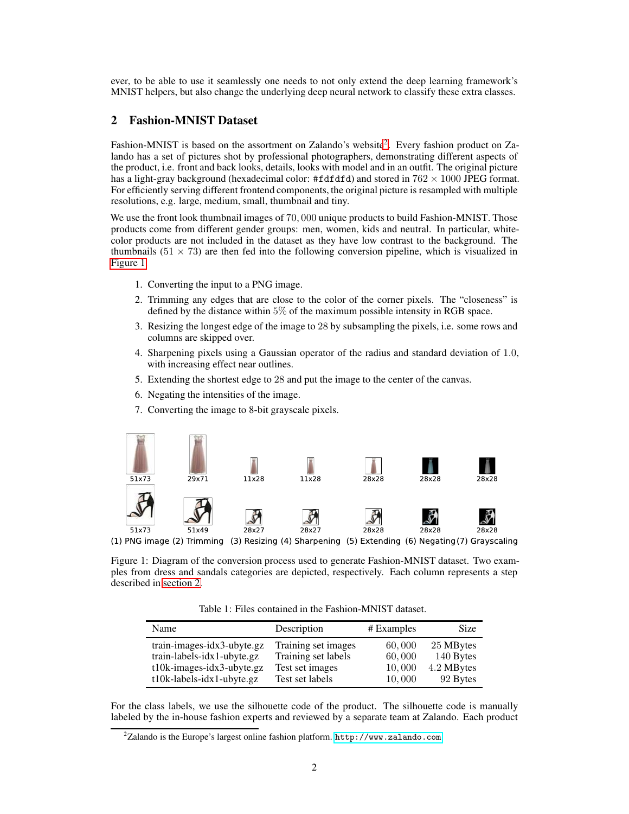ever, to be able to use it seamlessly one needs to not only extend the deep learning framework's MNIST helpers, but also change the underlying deep neural network to classify these extra classes.

## <span id="page-1-2"></span>2 Fashion-MNIST Dataset

Fashion-MNIST is based on the assortment on Zalando's website<sup>[2](#page-1-0)</sup>. Every fashion product on Zalando has a set of pictures shot by professional photographers, demonstrating different aspects of the product, i.e. front and back looks, details, looks with model and in an outfit. The original picture has a light-gray background (hexadecimal color: #fdfdfd) and stored in  $762 \times 1000$  JPEG format. For efficiently serving different frontend components, the original picture is resampled with multiple resolutions, e.g. large, medium, small, thumbnail and tiny.

We use the front look thumbnail images of 70,000 unique products to build Fashion-MNIST. Those products come from different gender groups: men, women, kids and neutral. In particular, whitecolor products are not included in the dataset as they have low contrast to the background. The thumbnails  $(51 \times 73)$  are then fed into the following conversion pipeline, which is visualized in [Figure 1.](#page-1-1)

- 1. Converting the input to a PNG image.
- 2. Trimming any edges that are close to the color of the corner pixels. The "closeness" is defined by the distance within 5% of the maximum possible intensity in RGB space.
- 3. Resizing the longest edge of the image to 28 by subsampling the pixels, i.e. some rows and columns are skipped over.
- 4. Sharpening pixels using a Gaussian operator of the radius and standard deviation of <sup>1</sup>.0, with increasing effect near outlines.
- 5. Extending the shortest edge to 28 and put the image to the center of the canvas.
- 6. Negating the intensities of the image.
- 7. Converting the image to 8-bit grayscale pixels.



(1) PNG image (2) Trimming (3) Resizing (4) Sharpening (5) Extending (6) Negating (7) Grayscaling

<span id="page-1-1"></span>Figure 1: Diagram of the conversion process used to generate Fashion-MNIST dataset. Two examples from dress and sandals categories are depicted, respectively. Each column represents a step described in [section 2.](#page-1-2)

<span id="page-1-3"></span>Table 1: Files contained in the Fashion-MNIST dataset.

| Name                                                                                     | Description                                                   | $#$ Examples               | Size                                 |
|------------------------------------------------------------------------------------------|---------------------------------------------------------------|----------------------------|--------------------------------------|
| train-images-idx3-ubyte.gz<br>train-labels-idx1-ubyte.gz<br>$t10k$ -images-idx3-ubyte.gz | Training set images<br>Training set labels<br>Test set images | 60,000<br>60,000<br>10,000 | 25 MBytes<br>140 Bytes<br>4.2 MBytes |
| t10k-labels-idx1-ubyte.gz                                                                | Test set labels                                               | 10,000                     | 92 Bytes                             |

For the class labels, we use the silhouette code of the product. The silhouette code is manually labeled by the in-house fashion experts and reviewed by a separate team at Zalando. Each product

<span id="page-1-0"></span><sup>&</sup>lt;sup>2</sup>Zalando is the Europe's largest online fashion platform. <http://www.zalando.com>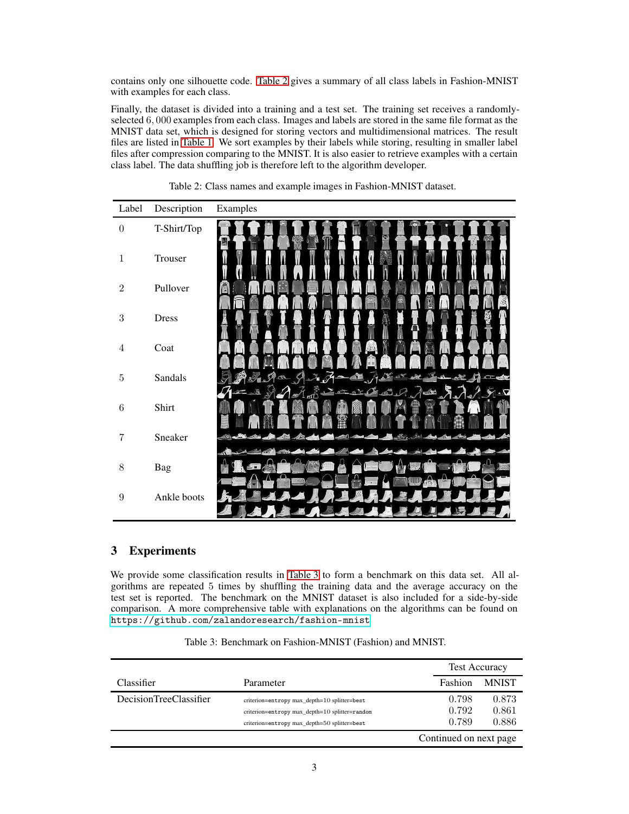contains only one silhouette code. [Table 2](#page-2-0) gives a summary of all class labels in Fashion-MNIST with examples for each class.

Finally, the dataset is divided into a training and a test set. The training set receives a randomlyselected <sup>6</sup>, <sup>000</sup> examples from each class. Images and labels are stored in the same file format as the MNIST data set, which is designed for storing vectors and multidimensional matrices. The result files are listed in [Table 1.](#page-1-3) We sort examples by their labels while storing, resulting in smaller label files after compression comparing to the MNIST. It is also easier to retrieve examples with a certain class label. The data shuffling job is therefore left to the algorithm developer.

| Label            | Description  | Examples     |
|------------------|--------------|--------------|
| $\boldsymbol{0}$ | T-Shirt/Top  | ×d           |
| $\mathbf{1}$     | Trouser      |              |
| $\,2$            | Pullover     |              |
| $\sqrt{3}$       | <b>Dress</b> |              |
| $\sqrt{4}$       | Coat         |              |
| $\bf 5$          | Sandals      | <b>START</b> |
| $\,6\,$          | Shirt        |              |
| 7                | Sneaker      |              |
| $8\,$            | Bag          |              |
| $9\,$            | Ankle boots  |              |

<span id="page-2-0"></span>

|  |  | Table 2: Class names and example images in Fashion-MNIST dataset. |  |
|--|--|-------------------------------------------------------------------|--|
|  |  |                                                                   |  |

# 3 Experiments

We provide some classification results in [Table 3](#page-2-1) to form a benchmark on this data set. All algorithms are repeated 5 times by shuffling the training data and the average accuracy on the test set is reported. The benchmark on the MNIST dataset is also included for a side-by-side comparison. A more comprehensive table with explanations on the algorithms can be found on <https://github.com/zalandoresearch/fashion-mnist>.

<span id="page-2-1"></span>

|                        |                                                                                                                                                |                         | <b>Test Accuracy</b>    |  |
|------------------------|------------------------------------------------------------------------------------------------------------------------------------------------|-------------------------|-------------------------|--|
| Classifier             | Parameter                                                                                                                                      | Fashion                 | <b>MNIST</b>            |  |
| DecisionTreeClassifier | criterion=entropy max depth=10 splitter=best<br>criterion=entropy max depth=10 splitter=random<br>criterion=entropy max_depth=50 splitter=best | 0.798<br>0.792<br>0.789 | 0.873<br>0.861<br>0.886 |  |
|                        |                                                                                                                                                | Continued on next page  |                         |  |

Table 3: Benchmark on Fashion-MNIST (Fashion) and MNIST.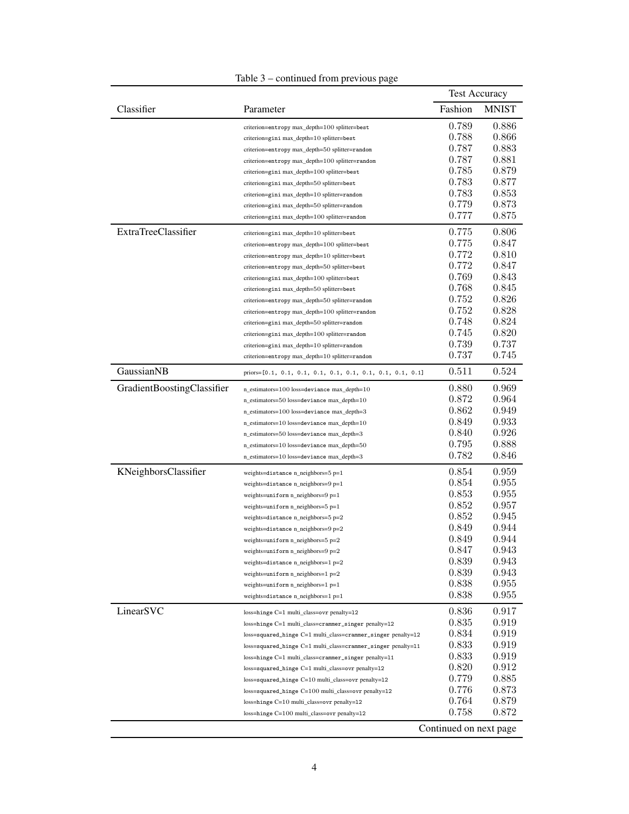|                            |                                                                | <b>Test Accuracy</b> |              |
|----------------------------|----------------------------------------------------------------|----------------------|--------------|
| Classifier                 | Parameter                                                      | Fashion              | <b>MNIST</b> |
|                            | criterion=entropy max_depth=100 splitter=best                  | 0.789                | 0.886        |
|                            | criterion=gini max_depth=10 splitter=best                      | 0.788                | 0.866        |
|                            | criterion=entropy max_depth=50 splitter=random                 | 0.787                | 0.883        |
|                            | criterion=entropy max_depth=100 splitter=random                | 0.787                | 0.881        |
|                            | criterion=gini max_depth=100 splitter=best                     | 0.785                | 0.879        |
|                            | criterion=gini max_depth=50 splitter=best                      | 0.783                | 0.877        |
|                            | criterion=gini max_depth=10 splitter=random                    | 0.783                | 0.853        |
|                            | criterion=gini max_depth=50 splitter=random                    | 0.779                | 0.873        |
|                            | criterion=gini max_depth=100 splitter=random                   | 0.777                | 0.875        |
| <b>ExtraTreeClassifier</b> | criterion=gini max_depth=10 splitter=best                      | 0.775                | 0.806        |
|                            | criterion=entropy max_depth=100 splitter=best                  | 0.775                | 0.847        |
|                            | criterion=entropy max_depth=10 splitter=best                   | 0.772                | 0.810        |
|                            | criterion=entropy max_depth=50 splitter=best                   | 0.772                | 0.847        |
|                            | criterion=gini max_depth=100 splitter=best                     | 0.769                | 0.843        |
|                            | criterion=gini max_depth=50 splitter=best                      | 0.768                | 0.845        |
|                            | criterion=entropy max_depth=50 splitter=random                 | 0.752                | 0.826        |
|                            | criterion=entropy max_depth=100 splitter=random                | 0.752                | 0.828        |
|                            | criterion=gini max_depth=50 splitter=random                    | 0.748                | 0.824        |
|                            | criterion=gini max_depth=100 splitter=random                   | 0.745                | 0.820        |
|                            | criterion=gini max_depth=10 splitter=random                    | 0.739                | 0.737        |
|                            | criterion=entropy max_depth=10 splitter=random                 | 0.737                | 0.745        |
| GaussianNB                 |                                                                | 0.511                | 0.524        |
| GradientBoostingClassifier | n_estimators=100 loss=deviance max_depth=10                    | 0.880                | 0.969        |
|                            | n_estimators=50 loss=deviance max_depth=10                     | 0.872                | 0.964        |
|                            | n_estimators=100 loss=deviance max_depth=3                     | 0.862                | 0.949        |
|                            | n_estimators=10 loss=deviance max_depth=10                     | 0.849                | 0.933        |
|                            | n_estimators=50 loss=deviance max_depth=3                      | 0.840                | 0.926        |
|                            | n_estimators=10 loss=deviance max_depth=50                     | 0.795                | 0.888        |
|                            | n_estimators=10 loss=deviance max_depth=3                      | 0.782                | 0.846        |
| KNeighborsClassifier       | weights=distance n_neighbors=5 p=1                             | 0.854                | 0.959        |
|                            | weights=distance n_neighbors=9 p=1                             | 0.854                | 0.955        |
|                            | weights=uniform n_neighbors=9 p=1                              | 0.853                | 0.955        |
|                            | weights=uniform n_neighbors=5 p=1                              | 0.852                | 0.957        |
|                            | weights=distance n_neighbors=5 p=2                             | 0.852                | 0.945        |
|                            | weights=distance n_neighbors=9 p=2                             | 0.849                | 0.944        |
|                            | weights=uniform n_neighbors=5 p=2                              | 0.849                | 0.944        |
|                            | weights=uniform n_neighbors=9 p=2                              | 0.847                | 0.943        |
|                            | weights=distance n_neighbors=1 p=2                             | 0.839                | 0.943        |
|                            | weights=uniform n_neighbors=1 p=2                              | 0.839                | 0.943        |
|                            | weights=uniform n_neighbors=1 p=1                              | 0.838                | 0.955        |
|                            | weights=distance n_neighbors=1 p=1                             | 0.838                | 0.955        |
| LinearSVC                  | loss=hinge C=1 multi_class=ovr penalty=12                      | 0.836                | 0.917        |
|                            | loss=hinge C=1 multi_class=crammer_singer penalty=12           | 0.835                | 0.919        |
|                            | loss=squared_hinge C=1 multi_class=crammer_singer penalty=12   | 0.834                | 0.919        |
|                            | loss=squared_hinge C=1 multi_class=crammer_singer penalty=11   | 0.833                | 0.919        |
|                            | loss=hinge C=1 multi_class=crammer_singer penalty=11           | 0.833                | 0.919        |
|                            | loss=squared_hinge C=1 multi_class=ovr penalty=12              | 0.820                | 0.912        |
|                            | loss=squared_hinge C=10 multi_class=ovr penalty=12             | 0.779                | 0.885        |
|                            | loss=squared_hinge C=100 multi_class=ovr penalty=12            | 0.776                | 0.873        |
|                            | loss=hinge C=10 multi_class=ovr penalty=12                     | 0.764                | 0.879        |
|                            | $loss = hinge C = 100 \text{ multi-class} = over penalty = 12$ | 0.758                | 0.872        |
| Continued on next page     |                                                                |                      |              |

# Table 3 – continued from previous page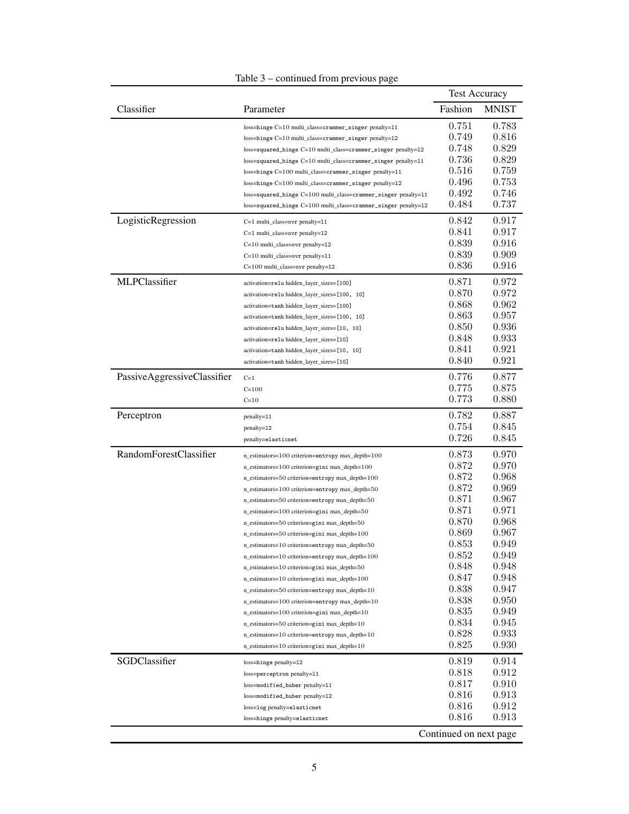| Classifier<br>Fashion<br>Parameter<br><b>MNIST</b><br>0.751<br>0.783<br>loss=hinge C=10 multi_class=crammer_singer penalty=11<br>0.816<br>0.749<br>loss=hinge C=10 multi_class=crammer_singer penalty=12<br>0.829<br>0.748<br>loss=squared_hinge C=10 multi_class=crammer_singer penalty=12<br>0.829<br>0.736<br>loss=squared_hinge C=10 multi_class=crammer_singer penalty=11<br>0.516<br>0.759<br>loss=hinge C=100 multi_class=crammer_singer penalty=11<br>0.496<br>0.753<br>loss=hinge C=100 multi_class=crammer_singer penalty=12<br>0.492<br>0.746<br>loss=squared_hinge C=100 multi_class=crammer_singer penalty=11<br>0.484<br>0.737<br>loss=squared_hinge C=100 multi_class=crammer_singer penalty=12<br>LogisticRegression<br>0.842<br>0.917<br>C=1 multi_class=ovr penalty=11<br>0.841<br>0.917<br>C=1 multi_class=ovr penalty=12<br>0.839<br>0.916<br>C=10 multi_class=ovr penalty=12<br>0.839<br>0.909<br>C=10 multi_class=ovr penalty=11<br>0.916<br>0.836<br>C=100 multi_class=ovr penalty=12<br>MLPClassifier<br>0.972<br>0.871<br>activation=relu hidden_layer_sizes=[100]<br>0.870<br>0.972<br>activation=relu hidden_layer_sizes=[100, 10]<br>0.868<br>0.962<br>activation=tanh hidden_layer_sizes=[100]<br>0.957<br>0.863<br>activation=tanh hidden_layer_sizes=[100, 10]<br>0.936<br>0.850<br>activation=relu hidden_layer_sizes=[10, 10]<br>0.848<br>0.933<br>activation=relu hidden_layer_sizes=[10]<br>0.841<br>0.921<br>activation=tanh hidden_layer_sizes=[10, 10]<br>0.840<br>0.921<br>activation=tanh hidden_layer_sizes=[10]<br>PassiveAggressiveClassifier<br>0.877<br>0.776<br>$C=1$<br>0.775<br>0.875<br>$C = 100$<br>0.773<br>0.880<br>$C=10$<br>0.887<br>0.782<br>Perceptron<br>penalty=11<br>0.754<br>0.845<br>penalty=12<br>0.726<br>0.845<br>penalty=elasticnet<br>RandomForestClassifier<br>0.873<br>0.970<br>n_estimators=100 criterion=entropy max_depth=100<br>0.872<br>0.970<br>n_estimators=100 criterion=gini max_depth=100<br>0.872<br>0.968<br>n_estimators=50 criterion=entropy max_depth=100<br>0.969<br>0.872<br>n_estimators=100 criterion=entropy max_depth=50<br>0.871<br>0.967<br>n_estimators=50 criterion=entropy max_depth=50<br>0.971<br>0.871<br>n_estimators=100 criterion=gini max_depth=50<br>0.870<br>0.968<br>n_estimators=50 criterion=gini max_depth=50<br>0.869<br>0.967<br>n_estimators=50 criterion=gini max_depth=100<br>0.853<br>0.949<br>n_estimators=10 criterion=entropy max_depth=50<br>0.852<br>0.949<br>n_estimators=10 criterion=entropy max_depth=100<br>0.848<br>0.948<br>n_estimators=10 criterion=gini max_depth=50<br>0.847<br>0.948<br>n_estimators=10 criterion=gini max_depth=100<br>0.838<br>0.947<br>n_estimators=50 criterion=entropy max_depth=10<br>0.838<br>0.950<br>n_estimators=100 criterion=entropy max_depth=10<br>0.835<br>0.949<br>n_estimators=100 criterion=gini max_depth=10<br>0.834<br>0.945<br>n_estimators=50 criterion=gini max_depth=10<br>0.828<br>0.933<br>n_estimators=10 criterion=entropy max_depth=10<br>0.825<br>0.930<br>n_estimators=10 criterion=gini max_depth=10<br>SGDClassifier<br>0.819<br>0.914<br>loss=hinge penalty=12<br>0.912<br>0.818<br>loss=perceptron penalty=11<br>0.817<br>0.910<br>loss=modified_huber penalty=11<br>0.816<br>0.913<br>loss=modified_huber penalty=12<br>0.816<br>0.912<br>loss=log penalty=elasticnet<br>0.816<br>0.913<br>loss=hinge penalty=elasticnet<br>Continued on next page |  | <b>Test Accuracy</b> |
|-------------------------------------------------------------------------------------------------------------------------------------------------------------------------------------------------------------------------------------------------------------------------------------------------------------------------------------------------------------------------------------------------------------------------------------------------------------------------------------------------------------------------------------------------------------------------------------------------------------------------------------------------------------------------------------------------------------------------------------------------------------------------------------------------------------------------------------------------------------------------------------------------------------------------------------------------------------------------------------------------------------------------------------------------------------------------------------------------------------------------------------------------------------------------------------------------------------------------------------------------------------------------------------------------------------------------------------------------------------------------------------------------------------------------------------------------------------------------------------------------------------------------------------------------------------------------------------------------------------------------------------------------------------------------------------------------------------------------------------------------------------------------------------------------------------------------------------------------------------------------------------------------------------------------------------------------------------------------------------------------------------------------------------------------------------------------------------------------------------------------------------------------------------------------------------------------------------------------------------------------------------------------------------------------------------------------------------------------------------------------------------------------------------------------------------------------------------------------------------------------------------------------------------------------------------------------------------------------------------------------------------------------------------------------------------------------------------------------------------------------------------------------------------------------------------------------------------------------------------------------------------------------------------------------------------------------------------------------------------------------------------------------------------------------------------------------------------------------------------------------------------------------------------------------------------------------------------------------------------------------------------------------------------------------------------------------------------------------------------------------------------------------------------------------------------------|--|----------------------|
|                                                                                                                                                                                                                                                                                                                                                                                                                                                                                                                                                                                                                                                                                                                                                                                                                                                                                                                                                                                                                                                                                                                                                                                                                                                                                                                                                                                                                                                                                                                                                                                                                                                                                                                                                                                                                                                                                                                                                                                                                                                                                                                                                                                                                                                                                                                                                                                                                                                                                                                                                                                                                                                                                                                                                                                                                                                                                                                                                                                                                                                                                                                                                                                                                                                                                                                                                                                                                                           |  |                      |
|                                                                                                                                                                                                                                                                                                                                                                                                                                                                                                                                                                                                                                                                                                                                                                                                                                                                                                                                                                                                                                                                                                                                                                                                                                                                                                                                                                                                                                                                                                                                                                                                                                                                                                                                                                                                                                                                                                                                                                                                                                                                                                                                                                                                                                                                                                                                                                                                                                                                                                                                                                                                                                                                                                                                                                                                                                                                                                                                                                                                                                                                                                                                                                                                                                                                                                                                                                                                                                           |  |                      |
|                                                                                                                                                                                                                                                                                                                                                                                                                                                                                                                                                                                                                                                                                                                                                                                                                                                                                                                                                                                                                                                                                                                                                                                                                                                                                                                                                                                                                                                                                                                                                                                                                                                                                                                                                                                                                                                                                                                                                                                                                                                                                                                                                                                                                                                                                                                                                                                                                                                                                                                                                                                                                                                                                                                                                                                                                                                                                                                                                                                                                                                                                                                                                                                                                                                                                                                                                                                                                                           |  |                      |
|                                                                                                                                                                                                                                                                                                                                                                                                                                                                                                                                                                                                                                                                                                                                                                                                                                                                                                                                                                                                                                                                                                                                                                                                                                                                                                                                                                                                                                                                                                                                                                                                                                                                                                                                                                                                                                                                                                                                                                                                                                                                                                                                                                                                                                                                                                                                                                                                                                                                                                                                                                                                                                                                                                                                                                                                                                                                                                                                                                                                                                                                                                                                                                                                                                                                                                                                                                                                                                           |  |                      |
|                                                                                                                                                                                                                                                                                                                                                                                                                                                                                                                                                                                                                                                                                                                                                                                                                                                                                                                                                                                                                                                                                                                                                                                                                                                                                                                                                                                                                                                                                                                                                                                                                                                                                                                                                                                                                                                                                                                                                                                                                                                                                                                                                                                                                                                                                                                                                                                                                                                                                                                                                                                                                                                                                                                                                                                                                                                                                                                                                                                                                                                                                                                                                                                                                                                                                                                                                                                                                                           |  |                      |
|                                                                                                                                                                                                                                                                                                                                                                                                                                                                                                                                                                                                                                                                                                                                                                                                                                                                                                                                                                                                                                                                                                                                                                                                                                                                                                                                                                                                                                                                                                                                                                                                                                                                                                                                                                                                                                                                                                                                                                                                                                                                                                                                                                                                                                                                                                                                                                                                                                                                                                                                                                                                                                                                                                                                                                                                                                                                                                                                                                                                                                                                                                                                                                                                                                                                                                                                                                                                                                           |  |                      |
|                                                                                                                                                                                                                                                                                                                                                                                                                                                                                                                                                                                                                                                                                                                                                                                                                                                                                                                                                                                                                                                                                                                                                                                                                                                                                                                                                                                                                                                                                                                                                                                                                                                                                                                                                                                                                                                                                                                                                                                                                                                                                                                                                                                                                                                                                                                                                                                                                                                                                                                                                                                                                                                                                                                                                                                                                                                                                                                                                                                                                                                                                                                                                                                                                                                                                                                                                                                                                                           |  |                      |
|                                                                                                                                                                                                                                                                                                                                                                                                                                                                                                                                                                                                                                                                                                                                                                                                                                                                                                                                                                                                                                                                                                                                                                                                                                                                                                                                                                                                                                                                                                                                                                                                                                                                                                                                                                                                                                                                                                                                                                                                                                                                                                                                                                                                                                                                                                                                                                                                                                                                                                                                                                                                                                                                                                                                                                                                                                                                                                                                                                                                                                                                                                                                                                                                                                                                                                                                                                                                                                           |  |                      |
|                                                                                                                                                                                                                                                                                                                                                                                                                                                                                                                                                                                                                                                                                                                                                                                                                                                                                                                                                                                                                                                                                                                                                                                                                                                                                                                                                                                                                                                                                                                                                                                                                                                                                                                                                                                                                                                                                                                                                                                                                                                                                                                                                                                                                                                                                                                                                                                                                                                                                                                                                                                                                                                                                                                                                                                                                                                                                                                                                                                                                                                                                                                                                                                                                                                                                                                                                                                                                                           |  |                      |
|                                                                                                                                                                                                                                                                                                                                                                                                                                                                                                                                                                                                                                                                                                                                                                                                                                                                                                                                                                                                                                                                                                                                                                                                                                                                                                                                                                                                                                                                                                                                                                                                                                                                                                                                                                                                                                                                                                                                                                                                                                                                                                                                                                                                                                                                                                                                                                                                                                                                                                                                                                                                                                                                                                                                                                                                                                                                                                                                                                                                                                                                                                                                                                                                                                                                                                                                                                                                                                           |  |                      |
|                                                                                                                                                                                                                                                                                                                                                                                                                                                                                                                                                                                                                                                                                                                                                                                                                                                                                                                                                                                                                                                                                                                                                                                                                                                                                                                                                                                                                                                                                                                                                                                                                                                                                                                                                                                                                                                                                                                                                                                                                                                                                                                                                                                                                                                                                                                                                                                                                                                                                                                                                                                                                                                                                                                                                                                                                                                                                                                                                                                                                                                                                                                                                                                                                                                                                                                                                                                                                                           |  |                      |
|                                                                                                                                                                                                                                                                                                                                                                                                                                                                                                                                                                                                                                                                                                                                                                                                                                                                                                                                                                                                                                                                                                                                                                                                                                                                                                                                                                                                                                                                                                                                                                                                                                                                                                                                                                                                                                                                                                                                                                                                                                                                                                                                                                                                                                                                                                                                                                                                                                                                                                                                                                                                                                                                                                                                                                                                                                                                                                                                                                                                                                                                                                                                                                                                                                                                                                                                                                                                                                           |  |                      |
|                                                                                                                                                                                                                                                                                                                                                                                                                                                                                                                                                                                                                                                                                                                                                                                                                                                                                                                                                                                                                                                                                                                                                                                                                                                                                                                                                                                                                                                                                                                                                                                                                                                                                                                                                                                                                                                                                                                                                                                                                                                                                                                                                                                                                                                                                                                                                                                                                                                                                                                                                                                                                                                                                                                                                                                                                                                                                                                                                                                                                                                                                                                                                                                                                                                                                                                                                                                                                                           |  |                      |
|                                                                                                                                                                                                                                                                                                                                                                                                                                                                                                                                                                                                                                                                                                                                                                                                                                                                                                                                                                                                                                                                                                                                                                                                                                                                                                                                                                                                                                                                                                                                                                                                                                                                                                                                                                                                                                                                                                                                                                                                                                                                                                                                                                                                                                                                                                                                                                                                                                                                                                                                                                                                                                                                                                                                                                                                                                                                                                                                                                                                                                                                                                                                                                                                                                                                                                                                                                                                                                           |  |                      |
|                                                                                                                                                                                                                                                                                                                                                                                                                                                                                                                                                                                                                                                                                                                                                                                                                                                                                                                                                                                                                                                                                                                                                                                                                                                                                                                                                                                                                                                                                                                                                                                                                                                                                                                                                                                                                                                                                                                                                                                                                                                                                                                                                                                                                                                                                                                                                                                                                                                                                                                                                                                                                                                                                                                                                                                                                                                                                                                                                                                                                                                                                                                                                                                                                                                                                                                                                                                                                                           |  |                      |
|                                                                                                                                                                                                                                                                                                                                                                                                                                                                                                                                                                                                                                                                                                                                                                                                                                                                                                                                                                                                                                                                                                                                                                                                                                                                                                                                                                                                                                                                                                                                                                                                                                                                                                                                                                                                                                                                                                                                                                                                                                                                                                                                                                                                                                                                                                                                                                                                                                                                                                                                                                                                                                                                                                                                                                                                                                                                                                                                                                                                                                                                                                                                                                                                                                                                                                                                                                                                                                           |  |                      |
|                                                                                                                                                                                                                                                                                                                                                                                                                                                                                                                                                                                                                                                                                                                                                                                                                                                                                                                                                                                                                                                                                                                                                                                                                                                                                                                                                                                                                                                                                                                                                                                                                                                                                                                                                                                                                                                                                                                                                                                                                                                                                                                                                                                                                                                                                                                                                                                                                                                                                                                                                                                                                                                                                                                                                                                                                                                                                                                                                                                                                                                                                                                                                                                                                                                                                                                                                                                                                                           |  |                      |
|                                                                                                                                                                                                                                                                                                                                                                                                                                                                                                                                                                                                                                                                                                                                                                                                                                                                                                                                                                                                                                                                                                                                                                                                                                                                                                                                                                                                                                                                                                                                                                                                                                                                                                                                                                                                                                                                                                                                                                                                                                                                                                                                                                                                                                                                                                                                                                                                                                                                                                                                                                                                                                                                                                                                                                                                                                                                                                                                                                                                                                                                                                                                                                                                                                                                                                                                                                                                                                           |  |                      |
|                                                                                                                                                                                                                                                                                                                                                                                                                                                                                                                                                                                                                                                                                                                                                                                                                                                                                                                                                                                                                                                                                                                                                                                                                                                                                                                                                                                                                                                                                                                                                                                                                                                                                                                                                                                                                                                                                                                                                                                                                                                                                                                                                                                                                                                                                                                                                                                                                                                                                                                                                                                                                                                                                                                                                                                                                                                                                                                                                                                                                                                                                                                                                                                                                                                                                                                                                                                                                                           |  |                      |
|                                                                                                                                                                                                                                                                                                                                                                                                                                                                                                                                                                                                                                                                                                                                                                                                                                                                                                                                                                                                                                                                                                                                                                                                                                                                                                                                                                                                                                                                                                                                                                                                                                                                                                                                                                                                                                                                                                                                                                                                                                                                                                                                                                                                                                                                                                                                                                                                                                                                                                                                                                                                                                                                                                                                                                                                                                                                                                                                                                                                                                                                                                                                                                                                                                                                                                                                                                                                                                           |  |                      |
|                                                                                                                                                                                                                                                                                                                                                                                                                                                                                                                                                                                                                                                                                                                                                                                                                                                                                                                                                                                                                                                                                                                                                                                                                                                                                                                                                                                                                                                                                                                                                                                                                                                                                                                                                                                                                                                                                                                                                                                                                                                                                                                                                                                                                                                                                                                                                                                                                                                                                                                                                                                                                                                                                                                                                                                                                                                                                                                                                                                                                                                                                                                                                                                                                                                                                                                                                                                                                                           |  |                      |
|                                                                                                                                                                                                                                                                                                                                                                                                                                                                                                                                                                                                                                                                                                                                                                                                                                                                                                                                                                                                                                                                                                                                                                                                                                                                                                                                                                                                                                                                                                                                                                                                                                                                                                                                                                                                                                                                                                                                                                                                                                                                                                                                                                                                                                                                                                                                                                                                                                                                                                                                                                                                                                                                                                                                                                                                                                                                                                                                                                                                                                                                                                                                                                                                                                                                                                                                                                                                                                           |  |                      |
|                                                                                                                                                                                                                                                                                                                                                                                                                                                                                                                                                                                                                                                                                                                                                                                                                                                                                                                                                                                                                                                                                                                                                                                                                                                                                                                                                                                                                                                                                                                                                                                                                                                                                                                                                                                                                                                                                                                                                                                                                                                                                                                                                                                                                                                                                                                                                                                                                                                                                                                                                                                                                                                                                                                                                                                                                                                                                                                                                                                                                                                                                                                                                                                                                                                                                                                                                                                                                                           |  |                      |
|                                                                                                                                                                                                                                                                                                                                                                                                                                                                                                                                                                                                                                                                                                                                                                                                                                                                                                                                                                                                                                                                                                                                                                                                                                                                                                                                                                                                                                                                                                                                                                                                                                                                                                                                                                                                                                                                                                                                                                                                                                                                                                                                                                                                                                                                                                                                                                                                                                                                                                                                                                                                                                                                                                                                                                                                                                                                                                                                                                                                                                                                                                                                                                                                                                                                                                                                                                                                                                           |  |                      |
|                                                                                                                                                                                                                                                                                                                                                                                                                                                                                                                                                                                                                                                                                                                                                                                                                                                                                                                                                                                                                                                                                                                                                                                                                                                                                                                                                                                                                                                                                                                                                                                                                                                                                                                                                                                                                                                                                                                                                                                                                                                                                                                                                                                                                                                                                                                                                                                                                                                                                                                                                                                                                                                                                                                                                                                                                                                                                                                                                                                                                                                                                                                                                                                                                                                                                                                                                                                                                                           |  |                      |
|                                                                                                                                                                                                                                                                                                                                                                                                                                                                                                                                                                                                                                                                                                                                                                                                                                                                                                                                                                                                                                                                                                                                                                                                                                                                                                                                                                                                                                                                                                                                                                                                                                                                                                                                                                                                                                                                                                                                                                                                                                                                                                                                                                                                                                                                                                                                                                                                                                                                                                                                                                                                                                                                                                                                                                                                                                                                                                                                                                                                                                                                                                                                                                                                                                                                                                                                                                                                                                           |  |                      |
|                                                                                                                                                                                                                                                                                                                                                                                                                                                                                                                                                                                                                                                                                                                                                                                                                                                                                                                                                                                                                                                                                                                                                                                                                                                                                                                                                                                                                                                                                                                                                                                                                                                                                                                                                                                                                                                                                                                                                                                                                                                                                                                                                                                                                                                                                                                                                                                                                                                                                                                                                                                                                                                                                                                                                                                                                                                                                                                                                                                                                                                                                                                                                                                                                                                                                                                                                                                                                                           |  |                      |
|                                                                                                                                                                                                                                                                                                                                                                                                                                                                                                                                                                                                                                                                                                                                                                                                                                                                                                                                                                                                                                                                                                                                                                                                                                                                                                                                                                                                                                                                                                                                                                                                                                                                                                                                                                                                                                                                                                                                                                                                                                                                                                                                                                                                                                                                                                                                                                                                                                                                                                                                                                                                                                                                                                                                                                                                                                                                                                                                                                                                                                                                                                                                                                                                                                                                                                                                                                                                                                           |  |                      |
|                                                                                                                                                                                                                                                                                                                                                                                                                                                                                                                                                                                                                                                                                                                                                                                                                                                                                                                                                                                                                                                                                                                                                                                                                                                                                                                                                                                                                                                                                                                                                                                                                                                                                                                                                                                                                                                                                                                                                                                                                                                                                                                                                                                                                                                                                                                                                                                                                                                                                                                                                                                                                                                                                                                                                                                                                                                                                                                                                                                                                                                                                                                                                                                                                                                                                                                                                                                                                                           |  |                      |
|                                                                                                                                                                                                                                                                                                                                                                                                                                                                                                                                                                                                                                                                                                                                                                                                                                                                                                                                                                                                                                                                                                                                                                                                                                                                                                                                                                                                                                                                                                                                                                                                                                                                                                                                                                                                                                                                                                                                                                                                                                                                                                                                                                                                                                                                                                                                                                                                                                                                                                                                                                                                                                                                                                                                                                                                                                                                                                                                                                                                                                                                                                                                                                                                                                                                                                                                                                                                                                           |  |                      |
|                                                                                                                                                                                                                                                                                                                                                                                                                                                                                                                                                                                                                                                                                                                                                                                                                                                                                                                                                                                                                                                                                                                                                                                                                                                                                                                                                                                                                                                                                                                                                                                                                                                                                                                                                                                                                                                                                                                                                                                                                                                                                                                                                                                                                                                                                                                                                                                                                                                                                                                                                                                                                                                                                                                                                                                                                                                                                                                                                                                                                                                                                                                                                                                                                                                                                                                                                                                                                                           |  |                      |
|                                                                                                                                                                                                                                                                                                                                                                                                                                                                                                                                                                                                                                                                                                                                                                                                                                                                                                                                                                                                                                                                                                                                                                                                                                                                                                                                                                                                                                                                                                                                                                                                                                                                                                                                                                                                                                                                                                                                                                                                                                                                                                                                                                                                                                                                                                                                                                                                                                                                                                                                                                                                                                                                                                                                                                                                                                                                                                                                                                                                                                                                                                                                                                                                                                                                                                                                                                                                                                           |  |                      |
|                                                                                                                                                                                                                                                                                                                                                                                                                                                                                                                                                                                                                                                                                                                                                                                                                                                                                                                                                                                                                                                                                                                                                                                                                                                                                                                                                                                                                                                                                                                                                                                                                                                                                                                                                                                                                                                                                                                                                                                                                                                                                                                                                                                                                                                                                                                                                                                                                                                                                                                                                                                                                                                                                                                                                                                                                                                                                                                                                                                                                                                                                                                                                                                                                                                                                                                                                                                                                                           |  |                      |
|                                                                                                                                                                                                                                                                                                                                                                                                                                                                                                                                                                                                                                                                                                                                                                                                                                                                                                                                                                                                                                                                                                                                                                                                                                                                                                                                                                                                                                                                                                                                                                                                                                                                                                                                                                                                                                                                                                                                                                                                                                                                                                                                                                                                                                                                                                                                                                                                                                                                                                                                                                                                                                                                                                                                                                                                                                                                                                                                                                                                                                                                                                                                                                                                                                                                                                                                                                                                                                           |  |                      |
|                                                                                                                                                                                                                                                                                                                                                                                                                                                                                                                                                                                                                                                                                                                                                                                                                                                                                                                                                                                                                                                                                                                                                                                                                                                                                                                                                                                                                                                                                                                                                                                                                                                                                                                                                                                                                                                                                                                                                                                                                                                                                                                                                                                                                                                                                                                                                                                                                                                                                                                                                                                                                                                                                                                                                                                                                                                                                                                                                                                                                                                                                                                                                                                                                                                                                                                                                                                                                                           |  |                      |
|                                                                                                                                                                                                                                                                                                                                                                                                                                                                                                                                                                                                                                                                                                                                                                                                                                                                                                                                                                                                                                                                                                                                                                                                                                                                                                                                                                                                                                                                                                                                                                                                                                                                                                                                                                                                                                                                                                                                                                                                                                                                                                                                                                                                                                                                                                                                                                                                                                                                                                                                                                                                                                                                                                                                                                                                                                                                                                                                                                                                                                                                                                                                                                                                                                                                                                                                                                                                                                           |  |                      |
|                                                                                                                                                                                                                                                                                                                                                                                                                                                                                                                                                                                                                                                                                                                                                                                                                                                                                                                                                                                                                                                                                                                                                                                                                                                                                                                                                                                                                                                                                                                                                                                                                                                                                                                                                                                                                                                                                                                                                                                                                                                                                                                                                                                                                                                                                                                                                                                                                                                                                                                                                                                                                                                                                                                                                                                                                                                                                                                                                                                                                                                                                                                                                                                                                                                                                                                                                                                                                                           |  |                      |
|                                                                                                                                                                                                                                                                                                                                                                                                                                                                                                                                                                                                                                                                                                                                                                                                                                                                                                                                                                                                                                                                                                                                                                                                                                                                                                                                                                                                                                                                                                                                                                                                                                                                                                                                                                                                                                                                                                                                                                                                                                                                                                                                                                                                                                                                                                                                                                                                                                                                                                                                                                                                                                                                                                                                                                                                                                                                                                                                                                                                                                                                                                                                                                                                                                                                                                                                                                                                                                           |  |                      |
|                                                                                                                                                                                                                                                                                                                                                                                                                                                                                                                                                                                                                                                                                                                                                                                                                                                                                                                                                                                                                                                                                                                                                                                                                                                                                                                                                                                                                                                                                                                                                                                                                                                                                                                                                                                                                                                                                                                                                                                                                                                                                                                                                                                                                                                                                                                                                                                                                                                                                                                                                                                                                                                                                                                                                                                                                                                                                                                                                                                                                                                                                                                                                                                                                                                                                                                                                                                                                                           |  |                      |
|                                                                                                                                                                                                                                                                                                                                                                                                                                                                                                                                                                                                                                                                                                                                                                                                                                                                                                                                                                                                                                                                                                                                                                                                                                                                                                                                                                                                                                                                                                                                                                                                                                                                                                                                                                                                                                                                                                                                                                                                                                                                                                                                                                                                                                                                                                                                                                                                                                                                                                                                                                                                                                                                                                                                                                                                                                                                                                                                                                                                                                                                                                                                                                                                                                                                                                                                                                                                                                           |  |                      |
|                                                                                                                                                                                                                                                                                                                                                                                                                                                                                                                                                                                                                                                                                                                                                                                                                                                                                                                                                                                                                                                                                                                                                                                                                                                                                                                                                                                                                                                                                                                                                                                                                                                                                                                                                                                                                                                                                                                                                                                                                                                                                                                                                                                                                                                                                                                                                                                                                                                                                                                                                                                                                                                                                                                                                                                                                                                                                                                                                                                                                                                                                                                                                                                                                                                                                                                                                                                                                                           |  |                      |
|                                                                                                                                                                                                                                                                                                                                                                                                                                                                                                                                                                                                                                                                                                                                                                                                                                                                                                                                                                                                                                                                                                                                                                                                                                                                                                                                                                                                                                                                                                                                                                                                                                                                                                                                                                                                                                                                                                                                                                                                                                                                                                                                                                                                                                                                                                                                                                                                                                                                                                                                                                                                                                                                                                                                                                                                                                                                                                                                                                                                                                                                                                                                                                                                                                                                                                                                                                                                                                           |  |                      |
|                                                                                                                                                                                                                                                                                                                                                                                                                                                                                                                                                                                                                                                                                                                                                                                                                                                                                                                                                                                                                                                                                                                                                                                                                                                                                                                                                                                                                                                                                                                                                                                                                                                                                                                                                                                                                                                                                                                                                                                                                                                                                                                                                                                                                                                                                                                                                                                                                                                                                                                                                                                                                                                                                                                                                                                                                                                                                                                                                                                                                                                                                                                                                                                                                                                                                                                                                                                                                                           |  |                      |
|                                                                                                                                                                                                                                                                                                                                                                                                                                                                                                                                                                                                                                                                                                                                                                                                                                                                                                                                                                                                                                                                                                                                                                                                                                                                                                                                                                                                                                                                                                                                                                                                                                                                                                                                                                                                                                                                                                                                                                                                                                                                                                                                                                                                                                                                                                                                                                                                                                                                                                                                                                                                                                                                                                                                                                                                                                                                                                                                                                                                                                                                                                                                                                                                                                                                                                                                                                                                                                           |  |                      |
|                                                                                                                                                                                                                                                                                                                                                                                                                                                                                                                                                                                                                                                                                                                                                                                                                                                                                                                                                                                                                                                                                                                                                                                                                                                                                                                                                                                                                                                                                                                                                                                                                                                                                                                                                                                                                                                                                                                                                                                                                                                                                                                                                                                                                                                                                                                                                                                                                                                                                                                                                                                                                                                                                                                                                                                                                                                                                                                                                                                                                                                                                                                                                                                                                                                                                                                                                                                                                                           |  |                      |
|                                                                                                                                                                                                                                                                                                                                                                                                                                                                                                                                                                                                                                                                                                                                                                                                                                                                                                                                                                                                                                                                                                                                                                                                                                                                                                                                                                                                                                                                                                                                                                                                                                                                                                                                                                                                                                                                                                                                                                                                                                                                                                                                                                                                                                                                                                                                                                                                                                                                                                                                                                                                                                                                                                                                                                                                                                                                                                                                                                                                                                                                                                                                                                                                                                                                                                                                                                                                                                           |  |                      |
|                                                                                                                                                                                                                                                                                                                                                                                                                                                                                                                                                                                                                                                                                                                                                                                                                                                                                                                                                                                                                                                                                                                                                                                                                                                                                                                                                                                                                                                                                                                                                                                                                                                                                                                                                                                                                                                                                                                                                                                                                                                                                                                                                                                                                                                                                                                                                                                                                                                                                                                                                                                                                                                                                                                                                                                                                                                                                                                                                                                                                                                                                                                                                                                                                                                                                                                                                                                                                                           |  |                      |
|                                                                                                                                                                                                                                                                                                                                                                                                                                                                                                                                                                                                                                                                                                                                                                                                                                                                                                                                                                                                                                                                                                                                                                                                                                                                                                                                                                                                                                                                                                                                                                                                                                                                                                                                                                                                                                                                                                                                                                                                                                                                                                                                                                                                                                                                                                                                                                                                                                                                                                                                                                                                                                                                                                                                                                                                                                                                                                                                                                                                                                                                                                                                                                                                                                                                                                                                                                                                                                           |  |                      |
|                                                                                                                                                                                                                                                                                                                                                                                                                                                                                                                                                                                                                                                                                                                                                                                                                                                                                                                                                                                                                                                                                                                                                                                                                                                                                                                                                                                                                                                                                                                                                                                                                                                                                                                                                                                                                                                                                                                                                                                                                                                                                                                                                                                                                                                                                                                                                                                                                                                                                                                                                                                                                                                                                                                                                                                                                                                                                                                                                                                                                                                                                                                                                                                                                                                                                                                                                                                                                                           |  |                      |
|                                                                                                                                                                                                                                                                                                                                                                                                                                                                                                                                                                                                                                                                                                                                                                                                                                                                                                                                                                                                                                                                                                                                                                                                                                                                                                                                                                                                                                                                                                                                                                                                                                                                                                                                                                                                                                                                                                                                                                                                                                                                                                                                                                                                                                                                                                                                                                                                                                                                                                                                                                                                                                                                                                                                                                                                                                                                                                                                                                                                                                                                                                                                                                                                                                                                                                                                                                                                                                           |  |                      |
|                                                                                                                                                                                                                                                                                                                                                                                                                                                                                                                                                                                                                                                                                                                                                                                                                                                                                                                                                                                                                                                                                                                                                                                                                                                                                                                                                                                                                                                                                                                                                                                                                                                                                                                                                                                                                                                                                                                                                                                                                                                                                                                                                                                                                                                                                                                                                                                                                                                                                                                                                                                                                                                                                                                                                                                                                                                                                                                                                                                                                                                                                                                                                                                                                                                                                                                                                                                                                                           |  |                      |
|                                                                                                                                                                                                                                                                                                                                                                                                                                                                                                                                                                                                                                                                                                                                                                                                                                                                                                                                                                                                                                                                                                                                                                                                                                                                                                                                                                                                                                                                                                                                                                                                                                                                                                                                                                                                                                                                                                                                                                                                                                                                                                                                                                                                                                                                                                                                                                                                                                                                                                                                                                                                                                                                                                                                                                                                                                                                                                                                                                                                                                                                                                                                                                                                                                                                                                                                                                                                                                           |  |                      |
|                                                                                                                                                                                                                                                                                                                                                                                                                                                                                                                                                                                                                                                                                                                                                                                                                                                                                                                                                                                                                                                                                                                                                                                                                                                                                                                                                                                                                                                                                                                                                                                                                                                                                                                                                                                                                                                                                                                                                                                                                                                                                                                                                                                                                                                                                                                                                                                                                                                                                                                                                                                                                                                                                                                                                                                                                                                                                                                                                                                                                                                                                                                                                                                                                                                                                                                                                                                                                                           |  |                      |
|                                                                                                                                                                                                                                                                                                                                                                                                                                                                                                                                                                                                                                                                                                                                                                                                                                                                                                                                                                                                                                                                                                                                                                                                                                                                                                                                                                                                                                                                                                                                                                                                                                                                                                                                                                                                                                                                                                                                                                                                                                                                                                                                                                                                                                                                                                                                                                                                                                                                                                                                                                                                                                                                                                                                                                                                                                                                                                                                                                                                                                                                                                                                                                                                                                                                                                                                                                                                                                           |  |                      |
|                                                                                                                                                                                                                                                                                                                                                                                                                                                                                                                                                                                                                                                                                                                                                                                                                                                                                                                                                                                                                                                                                                                                                                                                                                                                                                                                                                                                                                                                                                                                                                                                                                                                                                                                                                                                                                                                                                                                                                                                                                                                                                                                                                                                                                                                                                                                                                                                                                                                                                                                                                                                                                                                                                                                                                                                                                                                                                                                                                                                                                                                                                                                                                                                                                                                                                                                                                                                                                           |  |                      |

# Table 3 – continued from previous page